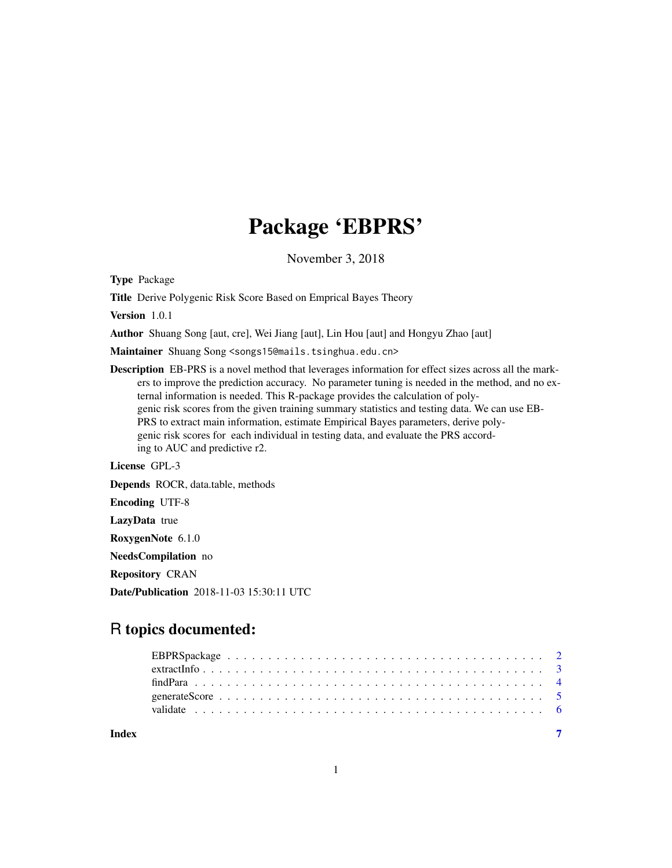## Package 'EBPRS'

November 3, 2018

Type Package

Title Derive Polygenic Risk Score Based on Emprical Bayes Theory

Version 1.0.1

Author Shuang Song [aut, cre], Wei Jiang [aut], Lin Hou [aut] and Hongyu Zhao [aut]

Maintainer Shuang Song <songs15@mails.tsinghua.edu.cn>

Description EB-PRS is a novel method that leverages information for effect sizes across all the markers to improve the prediction accuracy. No parameter tuning is needed in the method, and no external information is needed. This R-package provides the calculation of polygenic risk scores from the given training summary statistics and testing data. We can use EB-PRS to extract main information, estimate Empirical Bayes parameters, derive polygenic risk scores for each individual in testing data, and evaluate the PRS according to AUC and predictive r2.

License GPL-3

Depends ROCR, data.table, methods

Encoding UTF-8

LazyData true

RoxygenNote 6.1.0

NeedsCompilation no

Repository CRAN

Date/Publication 2018-11-03 15:30:11 UTC

### R topics documented:

| Index |  |  |  |  |
|-------|--|--|--|--|
|       |  |  |  |  |
|       |  |  |  |  |
|       |  |  |  |  |
|       |  |  |  |  |
|       |  |  |  |  |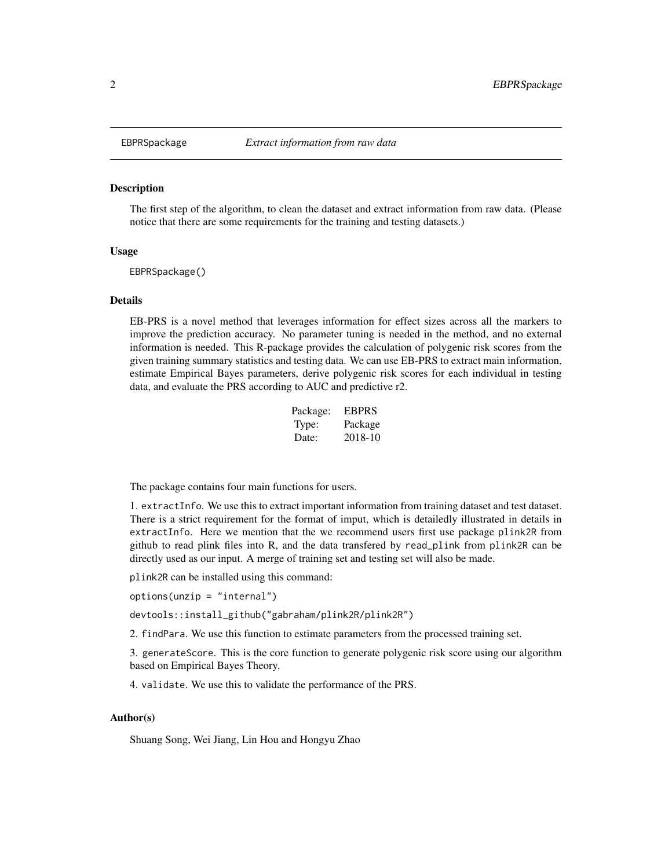<span id="page-1-0"></span>

#### Description

The first step of the algorithm, to clean the dataset and extract information from raw data. (Please notice that there are some requirements for the training and testing datasets.)

#### Usage

EBPRSpackage()

#### Details

EB-PRS is a novel method that leverages information for effect sizes across all the markers to improve the prediction accuracy. No parameter tuning is needed in the method, and no external information is needed. This R-package provides the calculation of polygenic risk scores from the given training summary statistics and testing data. We can use EB-PRS to extract main information, estimate Empirical Bayes parameters, derive polygenic risk scores for each individual in testing data, and evaluate the PRS according to AUC and predictive r2.

| Package: | <b>EBPRS</b> |
|----------|--------------|
| Type:    | Package      |
| Date:    | 2018-10      |

The package contains four main functions for users.

1. extractInfo. We use this to extract important information from training dataset and test dataset. There is a strict requirement for the format of imput, which is detailedly illustrated in details in extractInfo. Here we mention that the we recommend users first use package plink2R from github to read plink files into R, and the data transfered by read\_plink from plink2R can be directly used as our input. A merge of training set and testing set will also be made.

plink2R can be installed using this command:

options(unzip = "internal")

devtools::install\_github("gabraham/plink2R/plink2R")

2. findPara. We use this function to estimate parameters from the processed training set.

3. generateScore. This is the core function to generate polygenic risk score using our algorithm based on Empirical Bayes Theory.

4. validate. We use this to validate the performance of the PRS.

#### Author(s)

Shuang Song, Wei Jiang, Lin Hou and Hongyu Zhao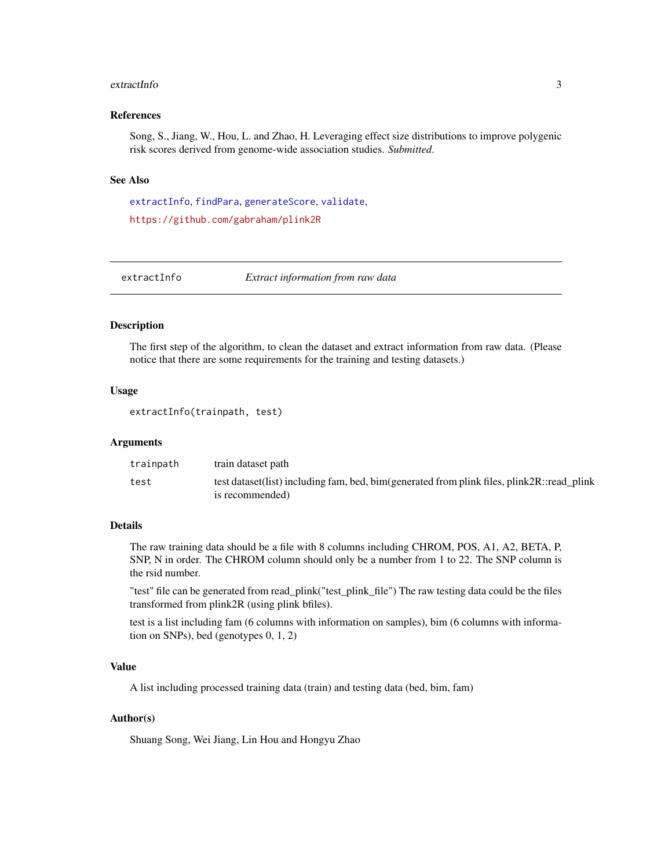#### <span id="page-2-0"></span>extractInfo 3

#### References

Song, S., Jiang, W., Hou, L. and Zhao, H. Leveraging effect size distributions to improve polygenic risk scores derived from genome-wide association studies. *Submitted*.

#### See Also

[extractInfo](#page-2-1), [findPara](#page-3-1), [generateScore](#page-4-1), [validate](#page-5-1), <https://github.com/gabraham/plink2R>

<span id="page-2-1"></span>

extractInfo *Extract information from raw data*

#### Description

The first step of the algorithm, to clean the dataset and extract information from raw data. (Please notice that there are some requirements for the training and testing datasets.)

#### Usage

```
extractInfo(trainpath, test)
```
#### Arguments

| trainpath | train dataset path                                                                                               |
|-----------|------------------------------------------------------------------------------------------------------------------|
| test      | test dataset (list) including fam, bed, bim (generated from plink files, plink 2R: read_plink<br>is recommended) |

#### Details

The raw training data should be a file with 8 columns including CHROM, POS, A1, A2, BETA, P, SNP, N in order. The CHROM column should only be a number from 1 to 22. The SNP column is the rsid number.

"test" file can be generated from read\_plink("test\_plink\_file") The raw testing data could be the files transformed from plink2R (using plink bfiles).

test is a list including fam (6 columns with information on samples), bim (6 columns with information on SNPs), bed (genotypes 0, 1, 2)

#### Value

A list including processed training data (train) and testing data (bed, bim, fam)

#### Author(s)

Shuang Song, Wei Jiang, Lin Hou and Hongyu Zhao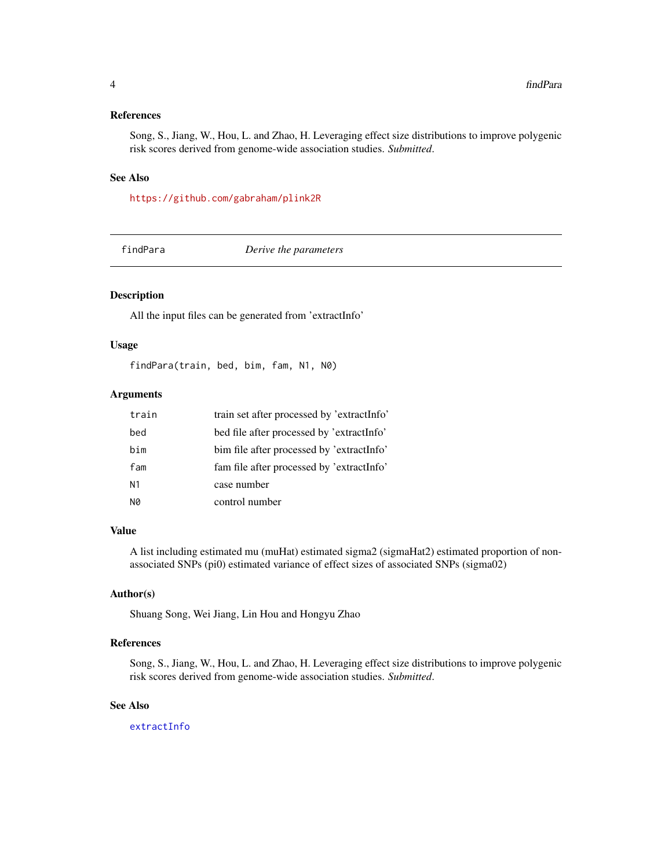#### <span id="page-3-0"></span>References

Song, S., Jiang, W., Hou, L. and Zhao, H. Leveraging effect size distributions to improve polygenic risk scores derived from genome-wide association studies. *Submitted*.

#### See Also

<https://github.com/gabraham/plink2R>

<span id="page-3-1"></span>findPara *Derive the parameters*

#### Description

All the input files can be generated from 'extractInfo'

#### Usage

findPara(train, bed, bim, fam, N1, N0)

#### Arguments

| train | train set after processed by 'extractInfo' |
|-------|--------------------------------------------|
| bed   | bed file after processed by 'extractInfo'  |
| bim   | bim file after processed by 'extractInfo'  |
| fam   | fam file after processed by 'extractInfo'  |
| N1    | case number                                |
| N0    | control number                             |

#### Value

A list including estimated mu (muHat) estimated sigma2 (sigmaHat2) estimated proportion of nonassociated SNPs (pi0) estimated variance of effect sizes of associated SNPs (sigma02)

#### Author(s)

Shuang Song, Wei Jiang, Lin Hou and Hongyu Zhao

#### References

Song, S., Jiang, W., Hou, L. and Zhao, H. Leveraging effect size distributions to improve polygenic risk scores derived from genome-wide association studies. *Submitted*.

#### See Also

[extractInfo](#page-2-1)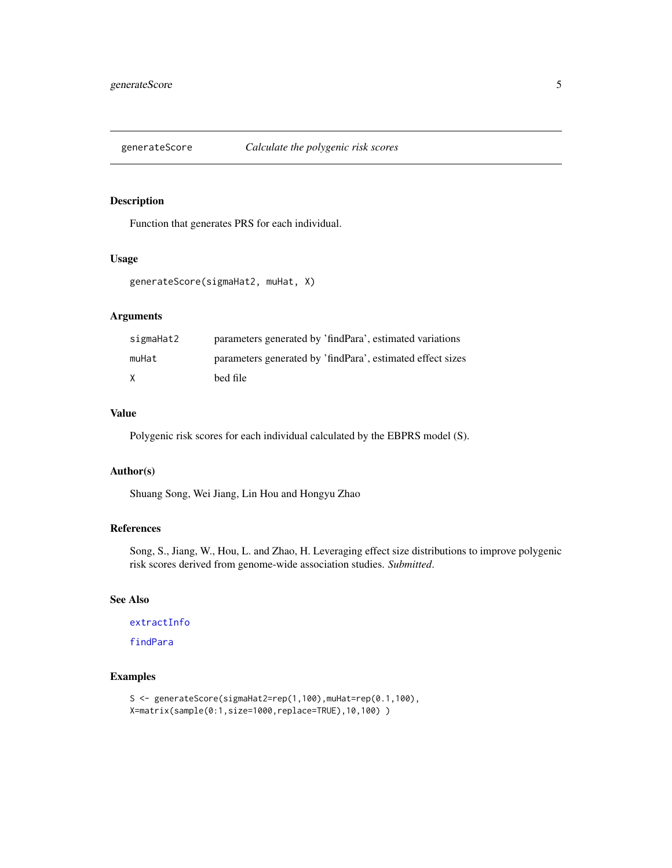<span id="page-4-1"></span><span id="page-4-0"></span>

#### Description

Function that generates PRS for each individual.

#### Usage

```
generateScore(sigmaHat2, muHat, X)
```
#### Arguments

| sigmaHat2 | parameters generated by 'findPara', estimated variations   |
|-----------|------------------------------------------------------------|
| muHat     | parameters generated by 'findPara', estimated effect sizes |
| X         | bed file                                                   |

#### Value

Polygenic risk scores for each individual calculated by the EBPRS model (S).

#### Author(s)

Shuang Song, Wei Jiang, Lin Hou and Hongyu Zhao

#### References

Song, S., Jiang, W., Hou, L. and Zhao, H. Leveraging effect size distributions to improve polygenic risk scores derived from genome-wide association studies. *Submitted*.

#### See Also

[extractInfo](#page-2-1)

[findPara](#page-3-1)

#### Examples

```
S <- generateScore(sigmaHat2=rep(1,100), muHat=rep(0.1,100),
X=matrix(sample(0:1,size=1000,replace=TRUE),10,100) )
```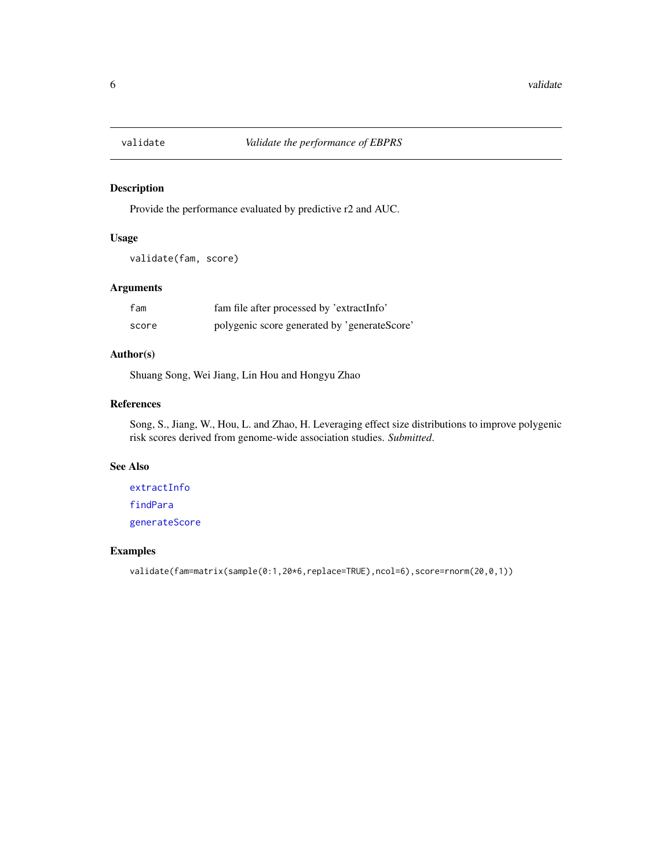<span id="page-5-1"></span><span id="page-5-0"></span>

#### Description

Provide the performance evaluated by predictive r2 and AUC.

#### Usage

validate(fam, score)

#### Arguments

| fam   | fam file after processed by 'extractInfo'    |
|-------|----------------------------------------------|
| score | polygenic score generated by 'generateScore' |

#### Author(s)

Shuang Song, Wei Jiang, Lin Hou and Hongyu Zhao

#### References

Song, S., Jiang, W., Hou, L. and Zhao, H. Leveraging effect size distributions to improve polygenic risk scores derived from genome-wide association studies. *Submitted*.

#### See Also

[extractInfo](#page-2-1) [findPara](#page-3-1) [generateScore](#page-4-1)

#### Examples

```
validate(fam=matrix(sample(0:1,20*6,replace=TRUE),ncol=6),score=rnorm(20,0,1))
```